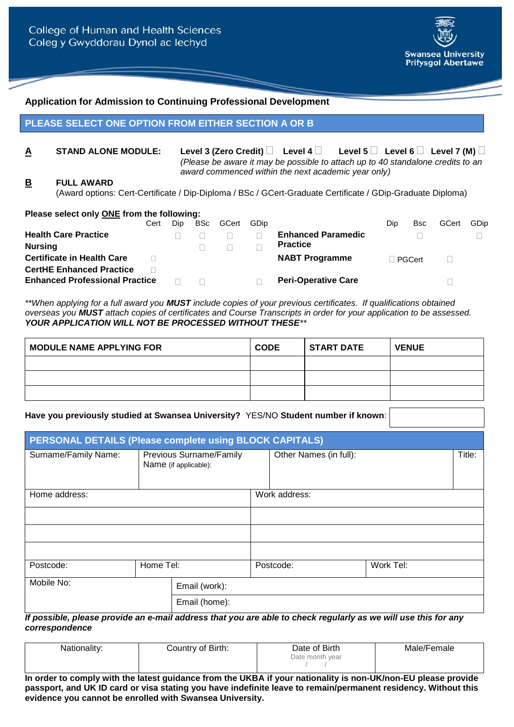

### **Application for Admission to Continuing Professional Development**

### **PLEASE SELECT ONE OPTION FROM EITHER SECTION A OR B**

**A STAND ALONE MODULE:** Level 3 (Zero Credit)  $\Box$  Level 4  $\Box$  Level 5  $\Box$  Level 6  $\Box$  Level 7 (M)  $\Box$ *(Please be aware it may be possible to attach up to 40 standalone credits to an award commenced within the next academic year only)*

## **B FULL AWARD**

(Award options: Cert-Certificate / Dip-Diploma / BSc / GCert-Graduate Certificate / GDip-Graduate Diploma)

| Please select only ONE from the following: |      |     |            |       |      |                            |     |             |       |      |
|--------------------------------------------|------|-----|------------|-------|------|----------------------------|-----|-------------|-------|------|
|                                            | Cert | Dip | <b>BSc</b> | GCert | GDip |                            | Dip | <b>B</b> sc | GCert | GDip |
| <b>Health Care Practice</b>                |      |     |            |       |      | <b>Enhanced Paramedic</b>  |     |             |       |      |
| <b>Nursing</b>                             |      |     |            |       |      | <b>Practice</b>            |     |             |       |      |
| <b>Certificate in Health Care</b>          |      |     |            |       |      | <b>NABT Programme</b>      |     | ⊟ PGCert.   |       |      |
| <b>CertHE Enhanced Practice</b>            |      |     |            |       |      |                            |     |             |       |      |
| <b>Enhanced Professional Practice</b>      |      |     |            |       |      | <b>Peri-Operative Care</b> |     |             |       |      |

*\*\*When applying for a full award you MUST include copies of your previous certificates. If qualifications obtained overseas you MUST attach copies of certificates and Course Transcripts in order for your application to be assessed. YOUR APPLICATION WILL NOT BE PROCESSED WITHOUT THESE\*\**

| <b>MODULE NAME APPLYING FOR</b> | <b>CODE</b> | <b>START DATE</b> | <b>VENUE</b> |
|---------------------------------|-------------|-------------------|--------------|
|                                 |             |                   |              |
|                                 |             |                   |              |
|                                 |             |                   |              |

#### **Have you previously studied at Swansea University?** YES/NO **Student number if known**:

| PERSONAL DETAILS (Please complete using BLOCK CAPITALS) |           |                                                         |               |                        |           |        |
|---------------------------------------------------------|-----------|---------------------------------------------------------|---------------|------------------------|-----------|--------|
| Surname/Family Name:                                    |           | <b>Previous Surname/Family</b><br>Name (if applicable): |               | Other Names (in full): |           | Title: |
| Home address:                                           |           |                                                         | Work address: |                        |           |        |
|                                                         |           |                                                         |               |                        |           |        |
|                                                         |           |                                                         |               |                        |           |        |
|                                                         |           |                                                         |               |                        |           |        |
| Postcode:                                               | Home Tel: |                                                         |               | Postcode:              | Work Tel: |        |
| Mobile No:                                              |           | Email (work):                                           |               |                        |           |        |
|                                                         |           | Email (home):                                           |               |                        |           |        |

*If possible, please provide an e-mail address that you are able to check regularly as we will use this for any correspondence*

| Nationality: | Country of Birth: | Date of Birth   | Male/Female |
|--------------|-------------------|-----------------|-------------|
|              |                   | Date month year |             |
|              |                   |                 |             |

**In order to comply with the latest guidance from the UKBA if your nationality is non-UK/non-EU please provide passport, and UK ID card or visa stating you have indefinite leave to remain/permanent residency. Without this evidence you cannot be enrolled with Swansea University.**